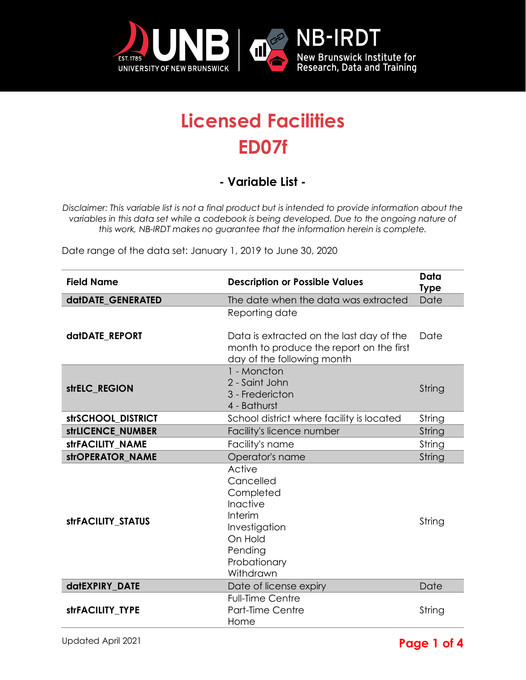

## **Licensed Facilities ED07f**

## **- Variable List -**

*Disclaimer: This variable list is not a final product but is intended to provide information about the variables in this data set while a codebook is being developed. Due to the ongoing nature of this work, NB-IRDT makes no guarantee that the information herein is complete.* 

Date range of the data set: January 1, 2019 to June 30, 2020

| <b>Field Name</b>  | <b>Description or Possible Values</b>                                                                                                | Data<br><b>Type</b> |
|--------------------|--------------------------------------------------------------------------------------------------------------------------------------|---------------------|
| datDATE GENERATED  | The date when the data was extracted                                                                                                 | Date                |
| datDATE REPORT     | Reporting date<br>Data is extracted on the last day of the<br>month to produce the report on the first<br>day of the following month | Date                |
| strELC_REGION      | 1 - Moncton<br>2 - Saint John<br>3 - Fredericton<br>4 - Bathurst                                                                     | String              |
| strSCHOOL DISTRICT | School district where facility is located                                                                                            | String              |
| strLICENCE_NUMBER  | Facility's licence number                                                                                                            | String              |
| strFACILITY_NAME   | Facility's name                                                                                                                      | String              |
| strOPERATOR NAME   | Operator's name                                                                                                                      | String              |
| strFACILITY_STATUS | Active<br>Cancelled<br>Completed<br>Inactive<br>Interim<br>Investigation<br>On Hold<br>Pending<br>Probationary<br>Withdrawn          | String              |
| datEXPIRY DATE     | Date of license expiry                                                                                                               | Date                |
| strFACILITY TYPE   | <b>Full-Time Centre</b><br>Part-Time Centre<br>Home                                                                                  | String              |

## Updated April 2021 **Page 1 of 4**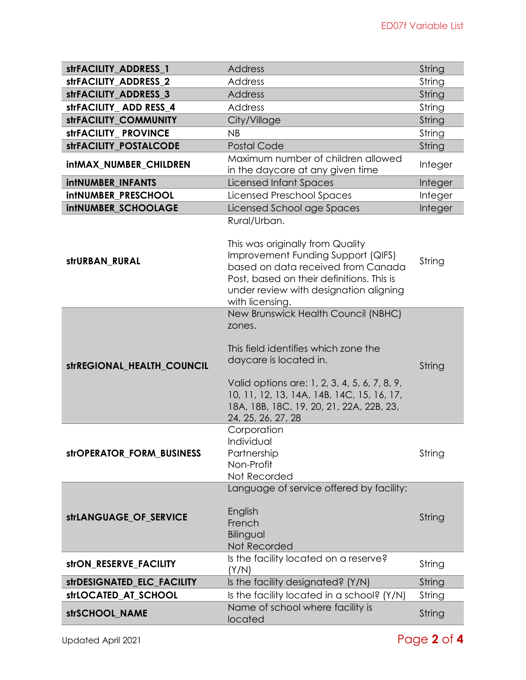| strFACILITY ADDRESS 1        | <b>Address</b>                                                                                                                                                                                                                                                                   | String  |
|------------------------------|----------------------------------------------------------------------------------------------------------------------------------------------------------------------------------------------------------------------------------------------------------------------------------|---------|
| strFACILITY_ADDRESS_2        | <b>Address</b>                                                                                                                                                                                                                                                                   | String  |
| strFACILITY_ADDRESS_3        | <b>Address</b>                                                                                                                                                                                                                                                                   | String  |
| strFACILITY ADD RESS 4       | <b>Address</b>                                                                                                                                                                                                                                                                   | String  |
| <b>strFACILITY COMMUNITY</b> | City/Village                                                                                                                                                                                                                                                                     | String  |
| strFACILITY_PROVINCE         | NB                                                                                                                                                                                                                                                                               | String  |
| strFACILITY POSTALCODE       | <b>Postal Code</b>                                                                                                                                                                                                                                                               | String  |
| intMAX_NUMBER_CHILDREN       | Maximum number of children allowed<br>in the daycare at any given time                                                                                                                                                                                                           | Integer |
| <b>intNUMBER INFANTS</b>     | Licensed Infant Spaces                                                                                                                                                                                                                                                           | Integer |
| <b>intNUMBER PRESCHOOL</b>   | Licensed Preschool Spaces                                                                                                                                                                                                                                                        | Integer |
| intNUMBER_SCHOOLAGE          | Licensed School age Spaces                                                                                                                                                                                                                                                       | Integer |
| strURBAN_RURAL               | Rural/Urban.<br>This was originally from Quality<br>Improvement Funding Support (QIFS)<br>based on data received from Canada<br>Post, based on their definitions. This is<br>under review with designation aligning<br>with licensing.                                           | String  |
| strREGIONAL_HEALTH_COUNCIL   | New Brunswick Health Council (NBHC)<br>zones.<br>This field identifies which zone the<br>daycare is located in.<br>Valid options are: 1, 2, 3, 4, 5, 6, 7, 8, 9,<br>10, 11, 12, 13, 14A, 14B, 14C, 15, 16, 17,<br>18A, 18B, 18C, 19, 20, 21, 22A, 22B, 23,<br>24, 25, 26, 27, 28 | String  |
| strOPERATOR_FORM_BUSINESS    | Corporation<br>Individual<br>Partnership<br>Non-Profit<br>Not Recorded                                                                                                                                                                                                           | String  |
| strLANGUAGE_OF_SERVICE       | Language of service offered by facility:<br>English<br>French<br>Bilingual<br>Not Recorded                                                                                                                                                                                       | String  |
| strON_RESERVE_FACILITY       | Is the facility located on a reserve?<br>(Y/N)                                                                                                                                                                                                                                   | String  |
| strDESIGNATED_ELC_FACILITY   | Is the facility designated? (Y/N)                                                                                                                                                                                                                                                | String  |
| strLOCATED_AT_SCHOOL         | Is the facility located in a school? (Y/N)                                                                                                                                                                                                                                       | String  |
| strSCHOOL_NAME               | Name of school where facility is<br>located                                                                                                                                                                                                                                      | String  |

Updated April 2021 Page **2** of **4**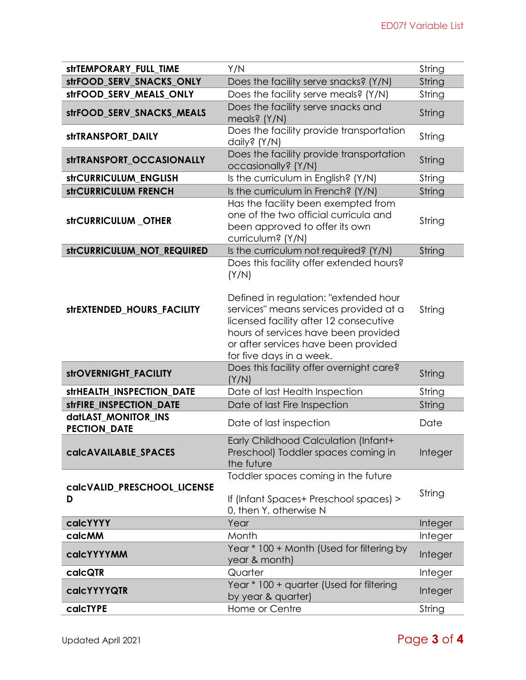| <b>strTEMPORARY FULL TIME</b>              | Y/N                                                                                                                                                                                                                                                                                        | String  |
|--------------------------------------------|--------------------------------------------------------------------------------------------------------------------------------------------------------------------------------------------------------------------------------------------------------------------------------------------|---------|
| strFOOD_SERV_SNACKS_ONLY                   | Does the facility serve snacks? (Y/N)                                                                                                                                                                                                                                                      | String  |
| strFOOD SERV MEALS ONLY                    | Does the facility serve meals? (Y/N)                                                                                                                                                                                                                                                       | String  |
| strFOOD_SERV_SNACKS_MEALS                  | Does the facility serve snacks and<br>meals? (Y/N)                                                                                                                                                                                                                                         | String  |
| strTRANSPORT_DAILY                         | Does the facility provide transportation<br>daily? (Y/N)                                                                                                                                                                                                                                   | String  |
| strTRANSPORT OCCASIONALLY                  | Does the facility provide transportation<br>occasionally? (Y/N)                                                                                                                                                                                                                            | String  |
| strCURRICULUM_ENGLISH                      | Is the curriculum in English? (Y/N)                                                                                                                                                                                                                                                        | String  |
| strCURRICULUM FRENCH                       | Is the curriculum in French? (Y/N)                                                                                                                                                                                                                                                         | String  |
| strCURRICULUM_OTHER                        | Has the facility been exempted from<br>one of the two official curricula and<br>been approved to offer its own<br>curriculum? (Y/N)                                                                                                                                                        | String  |
| strCURRICULUM_NOT_REQUIRED                 | Is the curriculum not required? (Y/N)                                                                                                                                                                                                                                                      | String  |
| strEXTENDED HOURS FACILITY                 | Does this facility offer extended hours?<br>(Y/N)<br>Defined in regulation: "extended hour<br>services" means services provided at a<br>licensed facility after 12 consecutive<br>hours of services have been provided<br>or after services have been provided<br>for five days in a week. | String  |
| strOVERNIGHT_FACILITY                      | Does this facility offer overnight care?<br>(Y/N)                                                                                                                                                                                                                                          | String  |
| strHEALTH_INSPECTION_DATE                  | Date of last Health Inspection                                                                                                                                                                                                                                                             | String  |
| strFIRE_INSPECTION_DATE                    | Date of last Fire Inspection                                                                                                                                                                                                                                                               | String  |
| datLAST_MONITOR_INS<br><b>PECTION_DATE</b> | Date of last inspection                                                                                                                                                                                                                                                                    | Date    |
| calcAVAILABLE_SPACES                       | Early Childhood Calculation (Infant+<br>Preschool) Toddler spaces coming in<br>the future                                                                                                                                                                                                  | Integer |
| calcVALID PRESCHOOL LICENSE<br>D           | Toddler spaces coming in the future<br>If (Infant Spaces+ Preschool spaces) ><br>0, then Y, otherwise N                                                                                                                                                                                    | String  |
| calcYYYY                                   | Year                                                                                                                                                                                                                                                                                       | Integer |
| calcMM                                     | Month                                                                                                                                                                                                                                                                                      | Integer |
| calcYYYYMM                                 | Year * 100 + Month (Used for filtering by<br>year & month)                                                                                                                                                                                                                                 | Integer |
| calcQTR                                    | Quarter                                                                                                                                                                                                                                                                                    | Integer |
| <b>calcYYYYQTR</b>                         | Year * 100 + quarter (Used for filtering<br>by year & quarter)                                                                                                                                                                                                                             | Integer |
| calcTYPE                                   | Home or Centre                                                                                                                                                                                                                                                                             | String  |